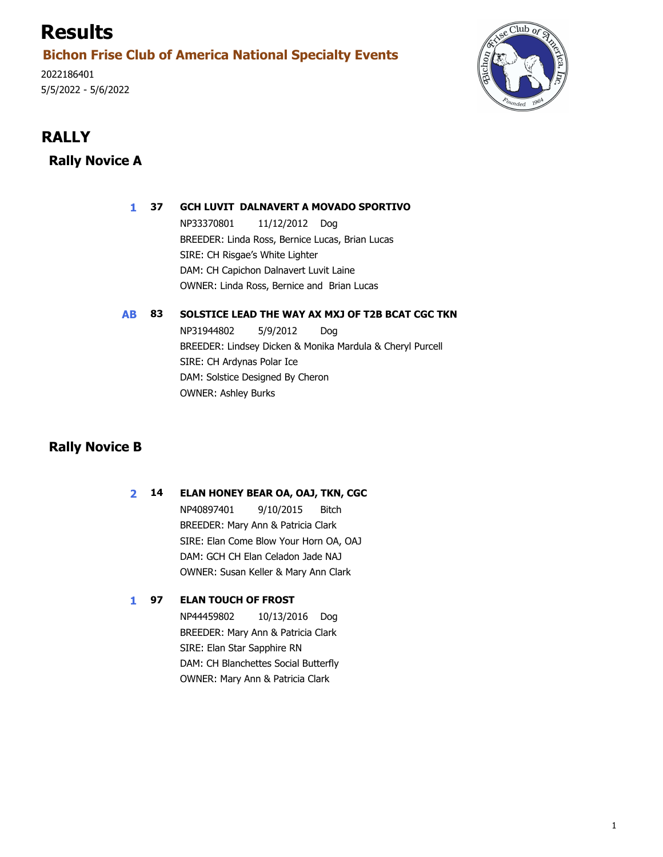# **Results**

## **Bichon Frise Club of America National Specialty Events**

2022186401 5/5/2022 - 5/6/2022



# *RALLY*

### **Rally Novice A**

#### **1 GCH LUVIT DALNAVERT A MOVADO SPORTIVO 37**

11/12/2012 Dog BREEDER: Linda Ross, Bernice Lucas, Brian Lucas NP33370801 OWNER: Linda Ross, Bernice and Brian Lucas DAM: CH Capichon Dalnavert Luvit Laine SIRE: CH Risgae's White Lighter

#### **AB SOLSTICE LEAD THE WAY AX MXJ OF T2B BCAT CGC TKN 83**

Dog BREEDER: Lindsey Dicken & Monika Mardula & Cheryl Purcell NP31944802 5/9/2012 OWNER: Ashley Burks DAM: Solstice Designed By Cheron SIRE: CH Ardynas Polar Ice

### **Rally Novice B**

#### **2 ELAN HONEY BEAR OA, OAJ, TKN, CGC 14**

Bitch BREEDER: Mary Ann & Patricia Clark NP40897401 9/10/2015 OWNER: Susan Keller & Mary Ann Clark DAM: GCH CH Elan Celadon Jade NAJ SIRE: Elan Come Blow Your Horn OA, OAJ

#### **1 ELAN TOUCH OF FROST 97**

10/13/2016 Dog BREEDER: Mary Ann & Patricia Clark NP44459802 OWNER: Mary Ann & Patricia Clark DAM: CH Blanchettes Social Butterfly SIRE: Elan Star Sapphire RN